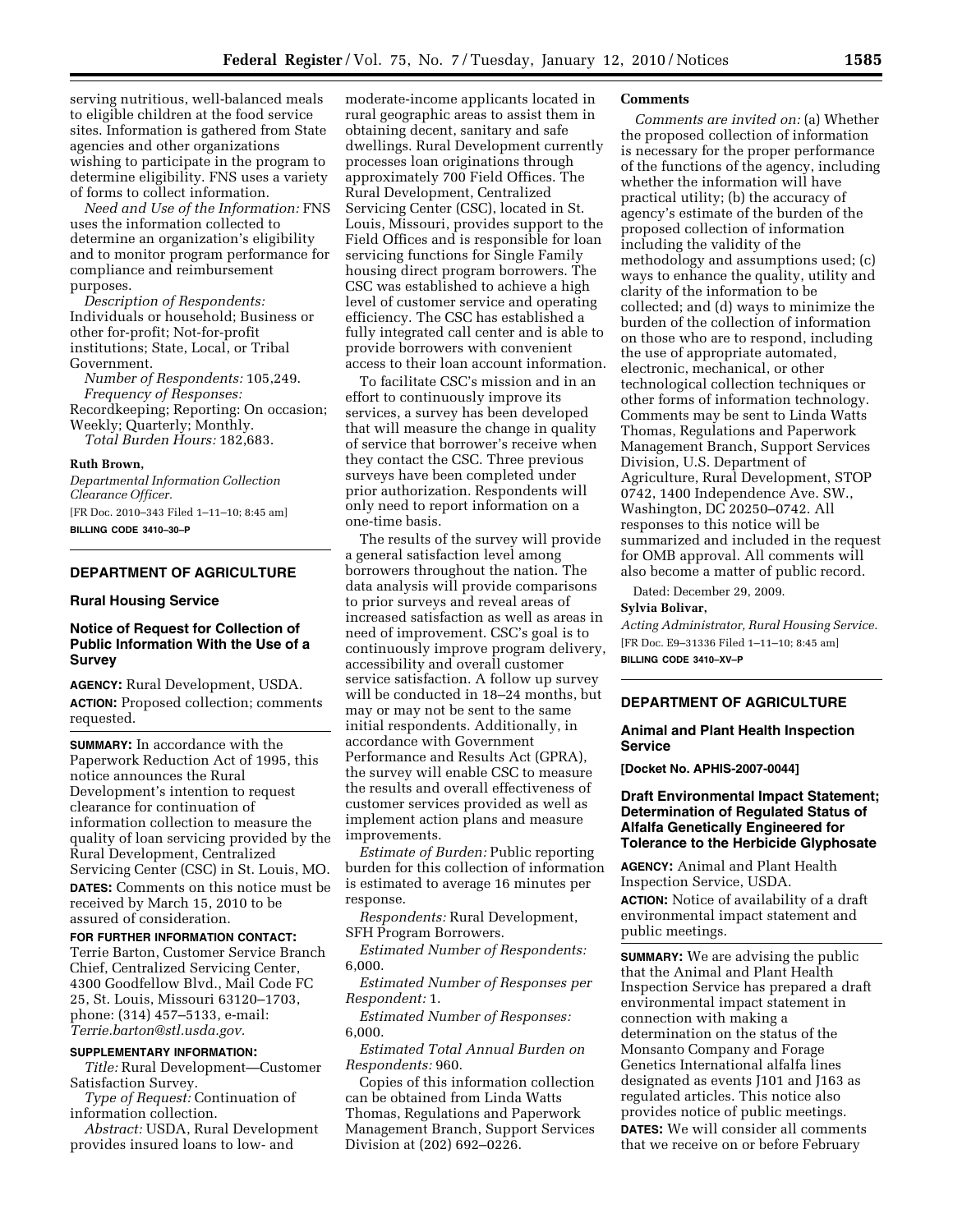serving nutritious, well-balanced meals to eligible children at the food service sites. Information is gathered from State agencies and other organizations wishing to participate in the program to determine eligibility. FNS uses a variety of forms to collect information.

*Need and Use of the Information:* FNS uses the information collected to determine an organization's eligibility and to monitor program performance for compliance and reimbursement purposes.

*Description of Respondents:*  Individuals or household; Business or other for-profit; Not-for-profit institutions; State, Local, or Tribal Government.

*Number of Respondents:* 105,249. *Frequency of Responses:*  Recordkeeping; Reporting: On occasion; Weekly; Quarterly; Monthly. *Total Burden Hours:* 182,683.

#### **Ruth Brown,**

*Departmental Information Collection Clearance Officer.* 

[FR Doc. 2010–343 Filed 1–11–10; 8:45 am] **BILLING CODE 3410–30–P** 

# **DEPARTMENT OF AGRICULTURE**

#### **Rural Housing Service**

# **Notice of Request for Collection of Public Information With the Use of a Survey**

**AGENCY:** Rural Development, USDA. **ACTION:** Proposed collection; comments requested.

**SUMMARY:** In accordance with the Paperwork Reduction Act of 1995, this notice announces the Rural Development's intention to request clearance for continuation of information collection to measure the quality of loan servicing provided by the Rural Development, Centralized Servicing Center (CSC) in St. Louis, MO. **DATES:** Comments on this notice must be received by March 15, 2010 to be assured of consideration.

#### **FOR FURTHER INFORMATION CONTACT:**

Terrie Barton, Customer Service Branch Chief, Centralized Servicing Center, 4300 Goodfellow Blvd., Mail Code FC 25, St. Louis, Missouri 63120–1703, phone: (314) 457–5133, e-mail: *Terrie.barton@stl.usda.gov.* 

#### **SUPPLEMENTARY INFORMATION:**

*Title:* Rural Development—Customer Satisfaction Survey.

*Type of Request:* Continuation of information collection.

*Abstract:* USDA, Rural Development provides insured loans to low- and

moderate-income applicants located in rural geographic areas to assist them in obtaining decent, sanitary and safe dwellings. Rural Development currently processes loan originations through approximately 700 Field Offices. The Rural Development, Centralized Servicing Center (CSC), located in St. Louis, Missouri, provides support to the Field Offices and is responsible for loan servicing functions for Single Family housing direct program borrowers. The CSC was established to achieve a high level of customer service and operating efficiency. The CSC has established a fully integrated call center and is able to provide borrowers with convenient access to their loan account information.

To facilitate CSC's mission and in an effort to continuously improve its services, a survey has been developed that will measure the change in quality of service that borrower's receive when they contact the CSC. Three previous surveys have been completed under prior authorization. Respondents will only need to report information on a one-time basis.

The results of the survey will provide a general satisfaction level among borrowers throughout the nation. The data analysis will provide comparisons to prior surveys and reveal areas of increased satisfaction as well as areas in need of improvement. CSC's goal is to continuously improve program delivery, accessibility and overall customer service satisfaction. A follow up survey will be conducted in 18–24 months, but may or may not be sent to the same initial respondents. Additionally, in accordance with Government Performance and Results Act (GPRA), the survey will enable CSC to measure the results and overall effectiveness of customer services provided as well as implement action plans and measure improvements.

*Estimate of Burden:* Public reporting burden for this collection of information is estimated to average 16 minutes per response.

*Respondents:* Rural Development, SFH Program Borrowers.

*Estimated Number of Respondents:*  6,000.

*Estimated Number of Responses per Respondent:* 1.

*Estimated Number of Responses:*  6,000.

*Estimated Total Annual Burden on Respondents:* 960.

Copies of this information collection can be obtained from Linda Watts Thomas, Regulations and Paperwork Management Branch, Support Services Division at (202) 692–0226.

#### **Comments**

*Comments are invited on:* (a) Whether the proposed collection of information is necessary for the proper performance of the functions of the agency, including whether the information will have practical utility; (b) the accuracy of agency's estimate of the burden of the proposed collection of information including the validity of the methodology and assumptions used; (c) ways to enhance the quality, utility and clarity of the information to be collected; and (d) ways to minimize the burden of the collection of information on those who are to respond, including the use of appropriate automated, electronic, mechanical, or other technological collection techniques or other forms of information technology. Comments may be sent to Linda Watts Thomas, Regulations and Paperwork Management Branch, Support Services Division, U.S. Department of Agriculture, Rural Development, STOP 0742, 1400 Independence Ave. SW., Washington, DC 20250–0742. All responses to this notice will be summarized and included in the request for OMB approval. All comments will also become a matter of public record.

Dated: December 29, 2009.

#### **Sylvia Bolivar,**

*Acting Administrator, Rural Housing Service.*  [FR Doc. E9–31336 Filed 1–11–10; 8:45 am] **BILLING CODE 3410–XV–P** 

# **DEPARTMENT OF AGRICULTURE**

### **Animal and Plant Health Inspection Service**

**[Docket No. APHIS-2007-0044]** 

# **Draft Environmental Impact Statement; Determination of Regulated Status of Alfalfa Genetically Engineered for Tolerance to the Herbicide Glyphosate**

**AGENCY:** Animal and Plant Health Inspection Service, USDA. **ACTION:** Notice of availability of a draft environmental impact statement and public meetings.

**SUMMARY:** We are advising the public that the Animal and Plant Health Inspection Service has prepared a draft environmental impact statement in connection with making a determination on the status of the Monsanto Company and Forage Genetics International alfalfa lines designated as events J101 and J163 as regulated articles. This notice also provides notice of public meetings. **DATES:** We will consider all comments that we receive on or before February